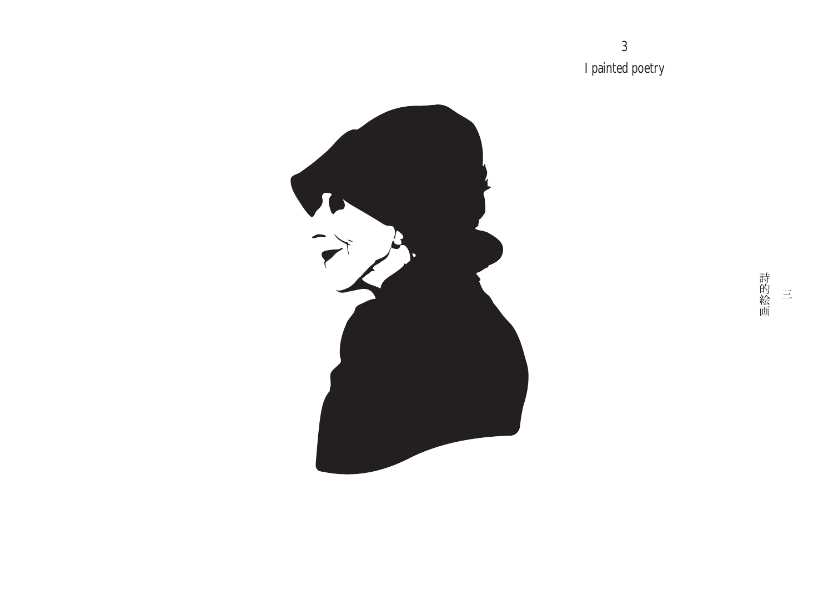3 I painted poetry

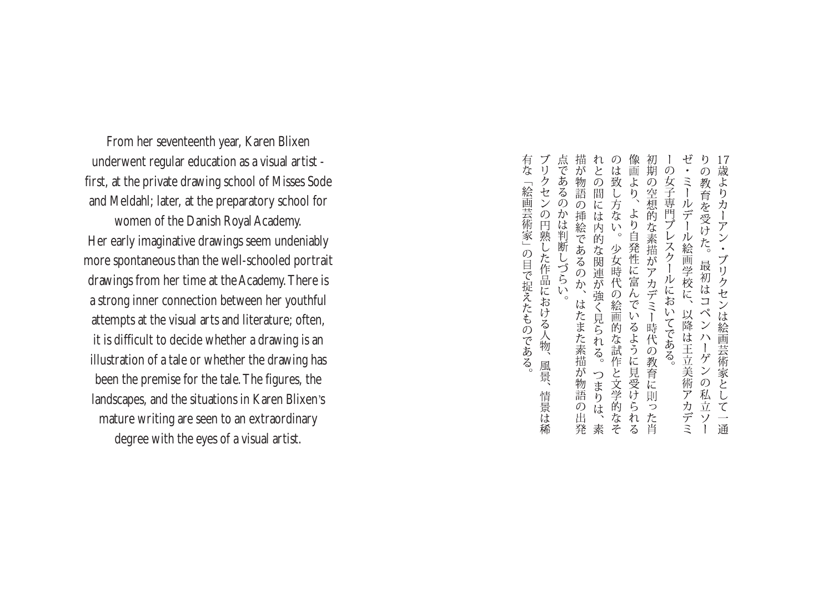From her seventeenth year, Karen Blixen underwent regular education as a visual artist first, at the private drawing school of Misses Sode and Meldahl; later, at the preparatory school for

women of the Danish Royal Academy. Her early imaginative drawings seem undeniably more spontaneous than the well-schooled portrait drawings from her time at the Academy.There is a strong inner connection between her youthful attempts at the visual arts and literature; often, it is difficult to decide whether a drawing is an illustration of a tale or whether the drawing has been the premise for the tale.The figures, the landscapes, and the situations in Karen Blixen's mature writing are seen to an extraordinary degree with the eyes of a visual artist.

描が物語の挿絵であるのか、はたまた素描が物語の出発 れとの間には内的な関連が強く見られる。つまりは、素のは致し方ない。少女時代の絵画的な試作と文学的なそ 像画より、より自発性に富んでいるように見受けられる初期の空想的な素描がアカデミー時代の教育に則った肖 の女子専門プレスクールにおいてである。  $\mathcal{O}$ 歳よりカーアン・ ミールデー 教育を受けた。最初はコペンハーゲンの私立ソー - ル絵画学校に、 ブリクセンは絵画芸術家として 以降は王立美術アカデミ 一通

点であるのかは判断しづらい。 有な ブリクセンの円熟した作品における人物、風景、 「絵画芸術家」の目で捉えたものである。 情景は稀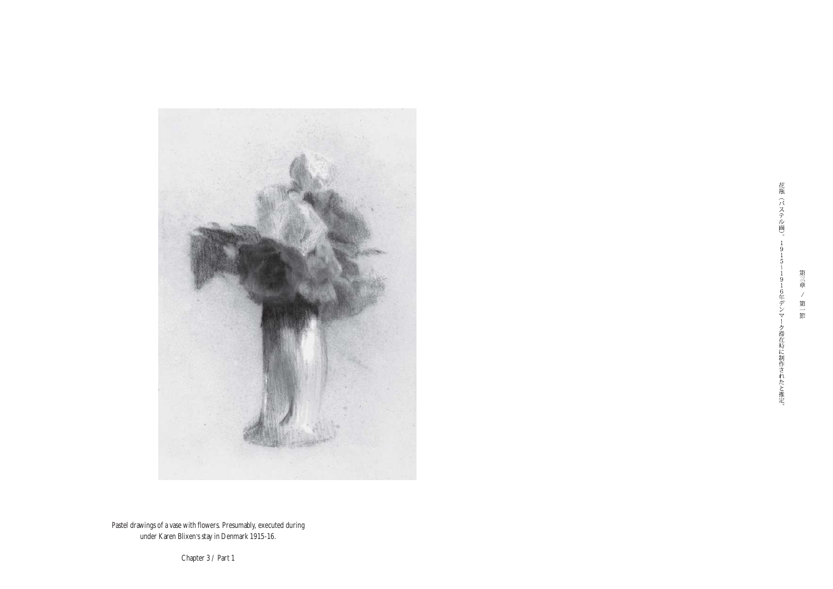

花瓶(パステル画)。  $\overline{9}$  $\overline{1}$  $\overline{5}$  $\overline{9}$  $\,1\,$ 6年デンマ ク滞在時に制作されたと推定。

第三章 / 第一節

Pastel drawings of a vase with flowers. Presumably, executed during under Karen Blixen's stay in Denmark 1915-16.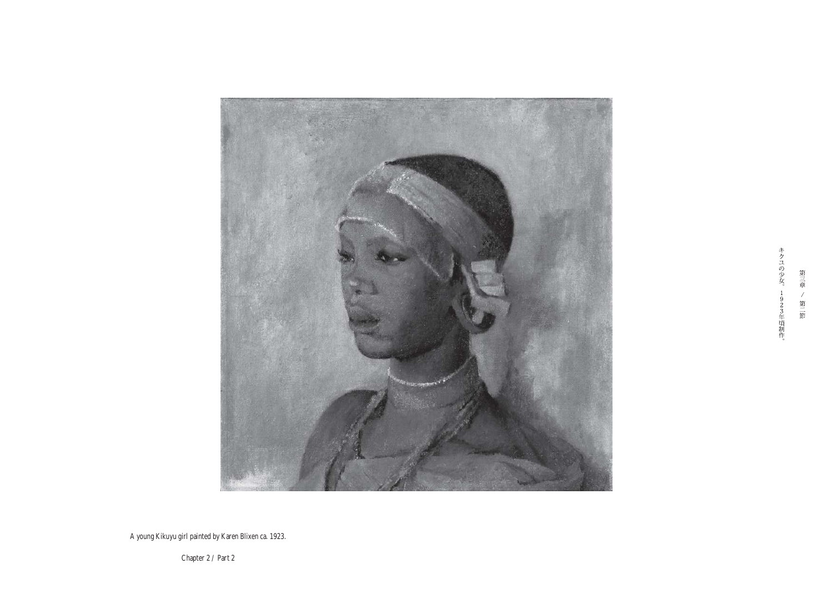

A young Kikuyu girl painted by Karen Blixen ca. 1923.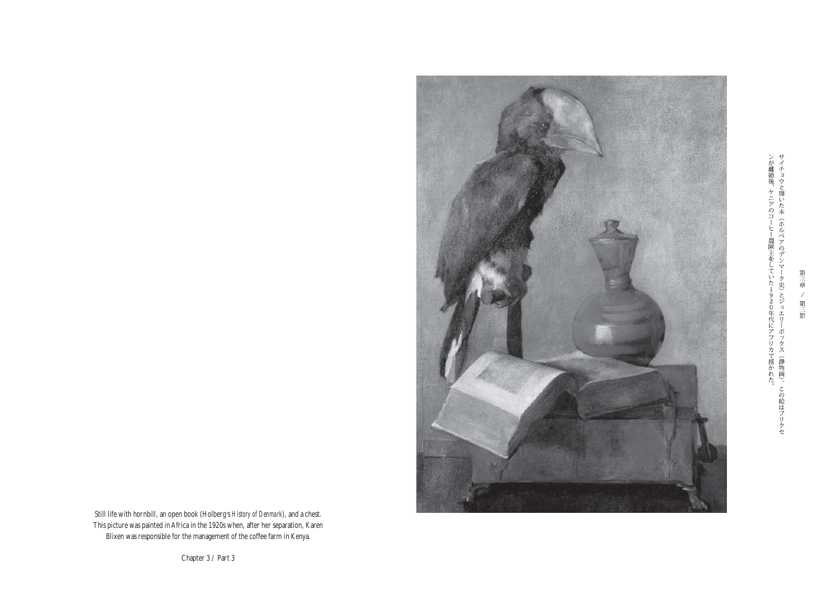ンが離婚後、ケニアのコーヒー農園主をしていた1920年代にアフリカで描かれた。サイチョウと開いた本(ホルベアのデンマーク史)とジュエリーボックス(静物画)。この絵はブリクセ



Still life with hornbill, an open book (Holberg's *History of Denmark*), and a chest. This picture was painted inAfrica in the 1920s when, after her separation, Karen Blixen was responsible for the management of the coffee farm in Kenya.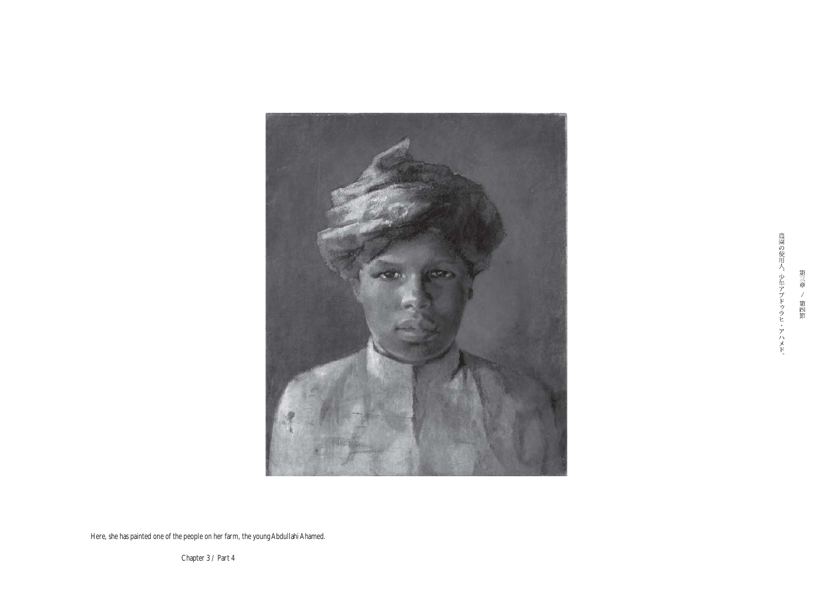

農園の使用人、少年アブドゥラヒ・アハメド。

第三章 / 第四節

Here, she has painted one of the people on her farm, the young Abdullahi Ahamed.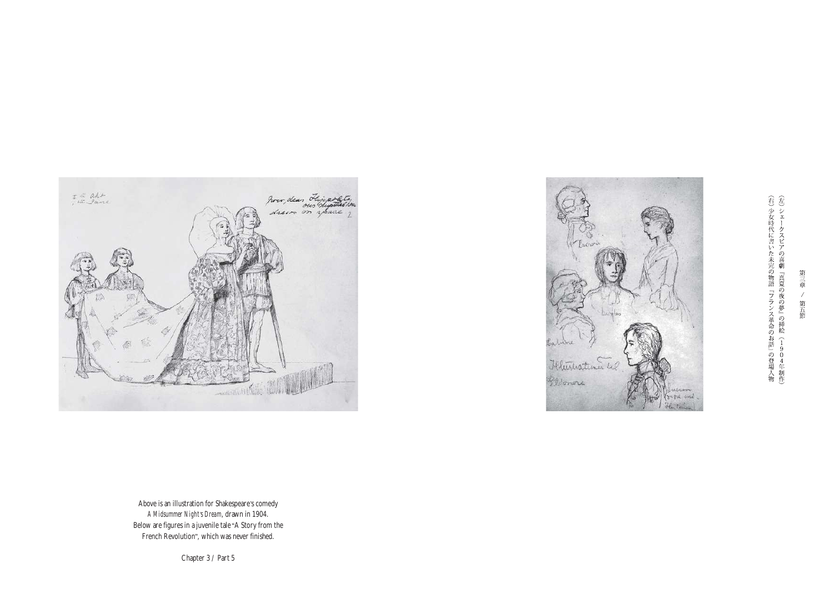

I to apt how, dear Flippofitation PANCHIN HILL **Barton** 



Above is an illustration for Shakespeare's comedy *A Midsummer Night's Dream*, drawn in 1904. Below are figures in a juvenile tale "A Story from the French Revolution", which was never finished.